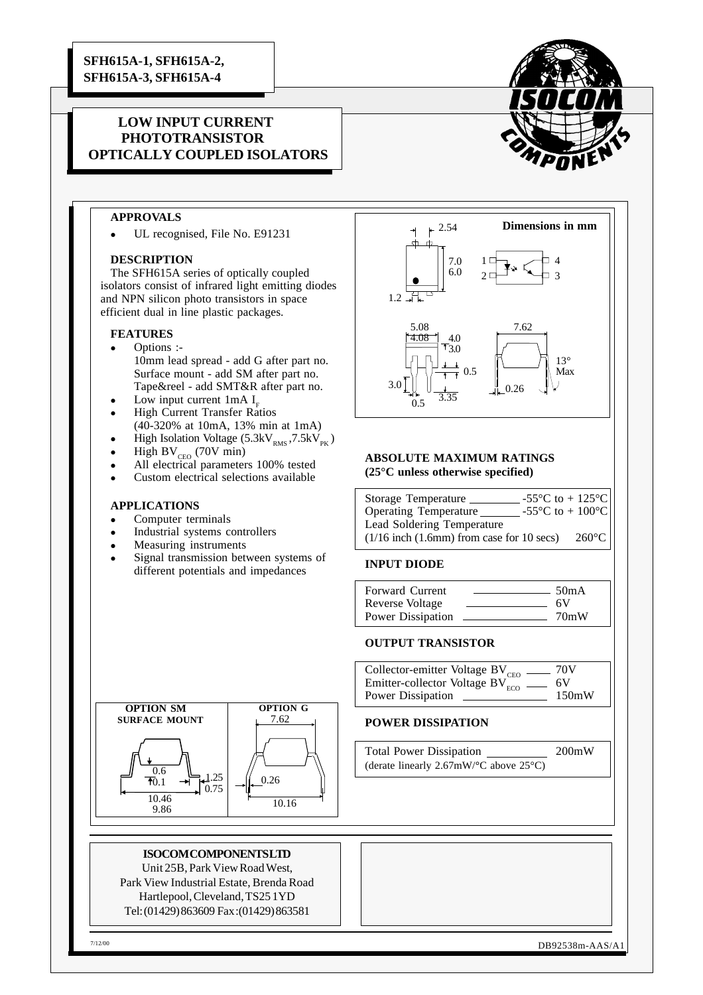# **LOW INPUT CURRENT PHOTOTRANSISTOR OPTICALLY COUPLED ISOLATORS**



## **APPROVALS**

UL recognised, File No. E91231

#### **DESCRIPTION**

The SFH615A series of optically coupled isolators consist of infrared light emitting diodes and NPN silicon photo transistors in space efficient dual in line plastic packages.

#### **FEATURES**

- Options :-10mm lead spread - add G after part no. Surface mount - add SM after part no. Tape&reel - add SMT&R after part no.
- Low input current  $1mA$  I<sub>r</sub>
- High Current Transfer Ratios (40-320% at 10mA, 13% min at 1mA)
- High Isolation Voltage  $(5.3kV_{RMS}, 7.5kV_{PK})$
- High BV $_{\text{CEO}}$  (70V min)
- All electrical parameters 100% tested Custom electrical selections available

## **APPLICATIONS**

- Computer terminals
- Industrial systems controllers
- Measuring instruments
- Signal transmission between systems of different potentials and impedances



#### **ABSOLUTE MAXIMUM RATINGS (25°C unless otherwise specified)**

| Storage Temperature                               | -55 $\mathrm{^{\circ}C}$ to + 125 $\mathrm{^{\circ}C}$ |                 |
|---------------------------------------------------|--------------------------------------------------------|-----------------|
| <b>Operating Temperature</b>                      | -55 $\mathrm{^{\circ}C}$ to + 100 $\mathrm{^{\circ}C}$ |                 |
| Lead Soldering Temperature                        |                                                        |                 |
| $(1/16$ inch $(1.6$ mm $)$ from case for 10 secs) |                                                        | $260^{\circ}$ C |

#### **INPUT DIODE**

| <b>Forward Current</b> | 50 <sub>m</sub> A |
|------------------------|-------------------|
| Reverse Voltage        | 6V                |
| Power Dissipation      | 70mW              |

#### **OUTPUT TRANSISTOR**

Collector-emitter Voltage  $BV_{CEO}$  = 70V Emitter-collector Voltage  $BV_{ECO}$  = 6V Power Dissipation 150mW

### **POWER DISSIPATION**

Total Power Dissipation 200mW (derate linearly 2.67mW/**°**C above 25°C)





#### **ISOCOM COMPONENTS LTD**

Unit 25B, Park View Road West, Park View Industrial Estate, Brenda Road Hartlepool, Cleveland, TS25 1YD Tel: (01429) 863609 Fax :(01429) 863581

7/12/00 DB92538m-AAS/A1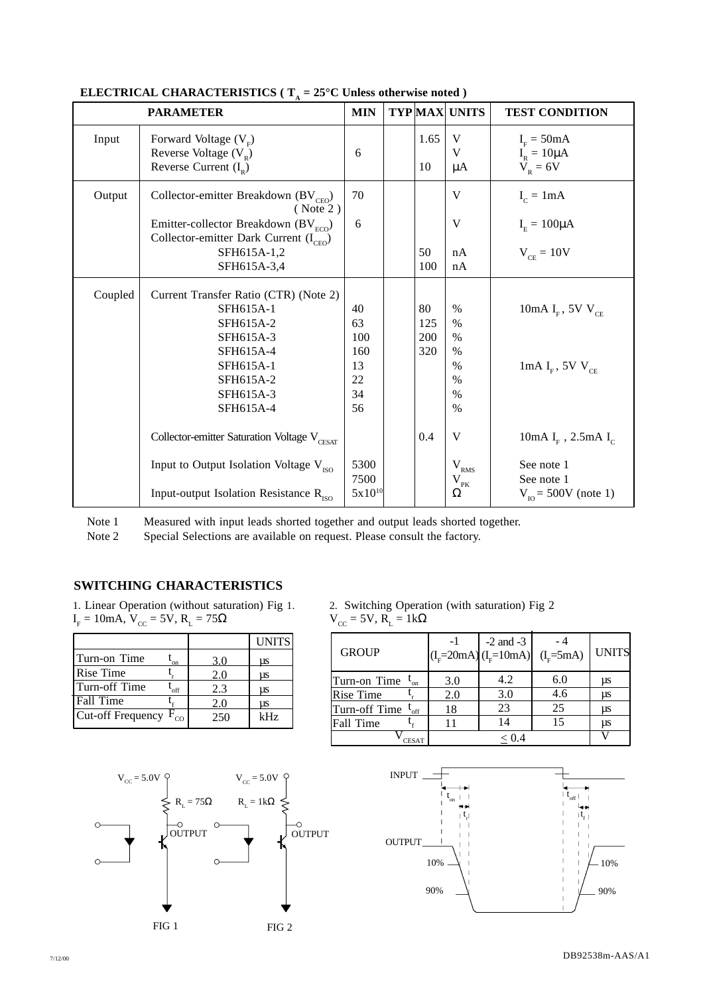|         | <b>PARAMETER</b>                                                                                                                                                    | <b>MIN</b>                                     | <b>TYP MAX UNITS</b>    |                                                              | <b>TEST CONDITION</b>                                                                   |
|---------|---------------------------------------------------------------------------------------------------------------------------------------------------------------------|------------------------------------------------|-------------------------|--------------------------------------------------------------|-----------------------------------------------------------------------------------------|
| Input   | Forward Voltage $(V_E)$<br>Reverse Voltage $(V_{R})$<br>Reverse Current $(I_p)$                                                                                     | 6                                              | 1.65<br>10              | V<br>V<br>μA                                                 | $I_F = 50mA$<br>$I_R = 10 \mu A$<br>$V_R = 6V$                                          |
| Output  | Collector-emitter Breakdown (BV <sub>CEO</sub> )<br>( Note 2)<br>Emitter-collector Breakdown (BV $_{ECO}$ )<br>Collector-emitter Dark Current $(I_{CEO})$           | 70<br>6                                        |                         | V<br>V                                                       | $I_c = 1mA$<br>$IE = 100 \mu A$                                                         |
|         | SFH615A-1,2<br>SFH615A-3,4                                                                                                                                          |                                                | 50<br>100               | nA<br>nA                                                     | $V_{CF} = 10V$                                                                          |
| Coupled | Current Transfer Ratio (CTR) (Note 2)<br>SFH615A-1<br>SFH615A-2<br>SFH615A-3<br>SFH615A-4<br>SFH615A-1<br>SFH615A-2<br>SFH615A-3<br>SFH615A-4                       | 40<br>63<br>100<br>160<br>13<br>22<br>34<br>56 | 80<br>125<br>200<br>320 | $\%$<br>$\%$<br>$\%$<br>$\%$<br>$\%$<br>$\%$<br>$\%$<br>$\%$ | 10mA I <sub>F</sub> , 5V V <sub>CE</sub><br>1mA $I_F$ , 5V $V_{CE}$                     |
|         | Collector-emitter Saturation Voltage V <sub>CESAT</sub><br>Input to Output Isolation Voltage V <sub>ISO</sub><br>Input-output Isolation Resistance R <sub>ISO</sub> | 5300<br>7500<br>$5x10^{10}$                    | 0.4                     | V<br>$V_{RMS}$<br>$\rm V_{\rm pK}$<br>Ω                      | 10mA $I_F$ , 2.5mA $I_C$<br>See note 1<br>See note 1<br>$V_{\text{IO}} = 500V$ (note 1) |

# **ELECTRICAL CHARACTERISTICS ( T<sup>A</sup> = 25°C Unless otherwise noted )**

Note 1 Measured with input leads shorted together and output leads shorted together.

Note 2 Special Selections are available on request. Please consult the factory.

# **SWITCHING CHARACTERISTICS**

1. Linear Operation (without saturation) Fig 1.  $I<sub>F</sub> = 10$ mA, V<sub>cc</sub> = 5V, R<sub>L</sub> = 75 $\Omega$ 

|                                |     | <b>UNITS</b> |
|--------------------------------|-----|--------------|
| Turn-on Time<br>'on            | 3.0 | us           |
| Rise Time                      | 2.0 | μs           |
| Turn-off Time<br>off           | 2.3 | μs           |
| Fall Time                      | 2.0 | μs           |
| Cut-off Frequency $F_{\rm co}$ | 250 | kHz          |



2. Switching Operation (with saturation) Fig 2  $V_{\text{CC}} = 5V, R_{\text{L}} = 1k\Omega$ 

| <b>GROUP</b>               |     | $-2$ and $-3$<br>$(I_{E} = 20mA) (I_{E} = 10mA)$ | $(Iv=5mA)$ | <b>UNITS</b> |
|----------------------------|-----|--------------------------------------------------|------------|--------------|
| Turn-on Time $I_{on}$      | 3.0 | 4.2                                              | 6.0        | μs           |
| <b>Rise Time</b>           | 2.0 | 3.0                                              | 4.6        | μs           |
| Turn-off Time<br>$L_{off}$ | 18  | 23                                               | 25         | <b>us</b>    |
| Fall Time                  | 11  | 14                                               | 15         | μs           |
| CESAT                      |     |                                                  |            |              |